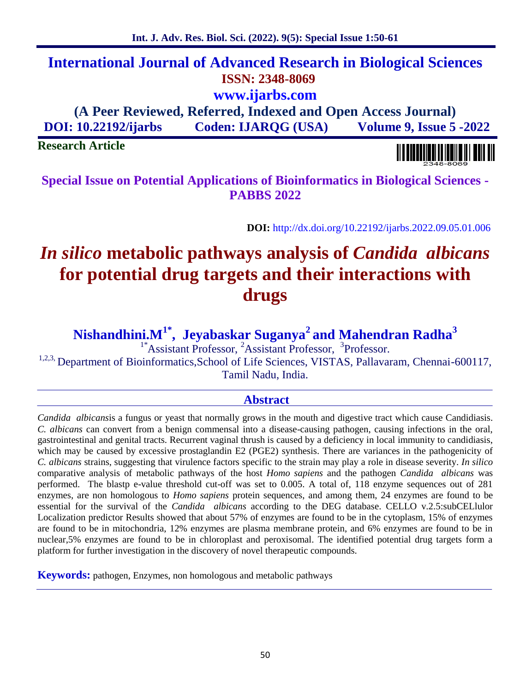# **International Journal of Advanced Research in Biological Sciences ISSN: 2348-8069 www.ijarbs.com**

**(A Peer Reviewed, Referred, Indexed and Open Access Journal) DOI: 10.22192/ijarbs Coden: IJARQG (USA) Volume 9, Issue 5 -2022**

**Research Article**

**Special Issue on Potential Applications of Bioinformatics in Biological Sciences - PABBS 2022**

**DOI:** http://dx.doi.org/10.22192/ijarbs.2022.09.05.01.006

# *In silico* **metabolic pathways analysis of** *Candida albicans* **for potential drug targets and their interactions with drugs**

**Nishandhini.M1\* , Jeyabaskar Suganya<sup>2</sup> and Mahendran Radha<sup>3</sup>**

<sup>1\*</sup>Assistant Professor, <sup>2</sup>Assistant Professor, <sup>3</sup>Professor.

<sup>1,2,3</sup>, Department of Bioinformatics, School of Life Sciences, VISTAS, Pallavaram, Chennai-600117, Tamil Nadu, India.

#### **Abstract**

*Candida albicans*is a fungus or yeast that normally grows in the mouth and digestive tract which cause Candidiasis. *C. albicans* can convert from a benign commensal into a disease-causing pathogen, causing infections in the oral, gastrointestinal and genital tracts. Recurrent vaginal thrush is caused by a deficiency in local immunity to candidiasis, which may be caused by excessive prostaglandin E2 (PGE2) synthesis. There are variances in the pathogenicity of *C. albicans* strains, suggesting that virulence factors specific to the strain may play a role in disease severity. *In silico* comparative analysis of metabolic pathways of the host *Homo sapiens* and the pathogen *Candida albicans* was performed. The blastp e-value threshold cut-off was set to 0.005. A total of, 118 enzyme sequences out of 281 enzymes, are non homologous to *Homo sapiens* protein sequences, and among them, 24 enzymes are found to be essential for the survival of the *Candida albicans* according to the DEG database. CELLO v.2.5:subCELlulor Localization predictor Results showed that about 57% of enzymes are found to be in the cytoplasm, 15% of enzymes are found to be in mitochondria, 12% enzymes are plasma membrane protein, and 6% enzymes are found to be in nuclear,5% enzymes are found to be in chloroplast and peroxisomal. The identified potential drug targets form a platform for further investigation in the discovery of novel therapeutic compounds.

**Keywords:** pathogen, Enzymes, non homologous and metabolic pathways

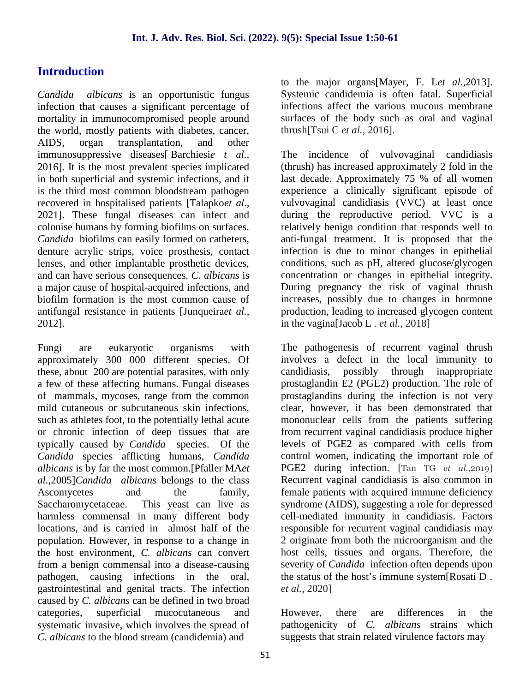# **Introduction**

*Candida albicans* is an opportunistic fungus infection that causes a significant percentage of mortality in immunocompromised people around the world, mostly patients with diabetes, cancer, AIDS, organ transplantation, and other immunosuppressive diseases[ Barchiesi*e t al.,* 2016]. It is the most prevalent species implicated in both superficial and systemic infections, and it is the third most common bloodstream pathogen recovered in hospitalised patients [Talapko*et al.,* 2021]. These fungal diseases can infect and colonise humans by forming biofilms on surfaces. *Candida* biofilms can easily formed on catheters, denture acrylic strips, voice prosthesis, contact lenses, and other implantable prosthetic devices, and can have serious consequences. *C. albicans* is a major cause of hospital-acquired infections, and biofilm formation is the most common cause of antifungal resistance in patients [Junqueira*et al.*, 2012].

Fungi are eukaryotic organisms with approximately 300 000 different species. Of these, about 200 are potential parasites, with only a few of these affecting humans. Fungal diseases of mammals, mycoses, range from the common mild cutaneous or subcutaneous skin infections, such as athletes foot, to the potentially lethal acute or chronic infection of deep tissues that are typically caused by *Candida* species. Of the *Candida* species afflicting humans, *Candida albicans* is by far the most common.[Pfaller MA*et al.,*2005]*Candida albicans* belongs to the class Ascomycetes and the family, Saccharomycetaceae. This yeast can live as harmless commensal in many different body locations, and is carried in almost half of the population. However, in response to a change in the host environment, *C. albicans* can convert from a benign commensal into a disease-causing pathogen, causing infections in the oral, gastrointestinal and genital tracts. The infection caused by *C. albicans* can be defined in two broad categories, superficial mucocutaneous and systematic invasive, which involves the spread of *C. albicans* to the blood stream (candidemia) and

to the major organs[Mayer, F. L*et al.,*2013]. Systemic candidemia is often fatal. Superficial infections affect the various mucous membrane surfaces of the body such as oral and vaginal thrush[Tsui C *et al.,* 2016].

The incidence of vulvovaginal candidiasis (thrush) has increased approximately 2 fold in the last decade. Approximately 75 % of all women experience a clinically significant episode of vulvovaginal candidiasis (VVC) at least once during the reproductive period. VVC is a relatively benign condition that responds well to anti-fungal treatment. It is proposed that the infection is due to minor changes in epithelial conditions, such as pH, altered glucose/glycogen concentration or changes in epithelial integrity. During pregnancy the risk of vaginal thrush increases, possibly due to changes in hormone production, leading to increased glycogen content in the vagina[Jacob L . *et al.,* 2018]

The pathogenesis of recurrent vaginal thrush involves a defect in the local immunity to possibly through inappropriate prostaglandin E2 (PGE2) production. The role of prostaglandins during the infection is not very clear, however, it has been demonstrated that mononuclear cells from the patients suffering from recurrent vaginal candidiasis produce higher levels of PGE2 as compared with cells from control women, indicating the important role of PGE2 during infection. [Tan TG *et al.,*2019] Recurrent vaginal candidiasis is also common in female patients with acquired immune deficiency syndrome (AIDS), suggesting a role for depressed cell-mediated immunity in candidiasis. Factors responsible for recurrent vaginal candidiasis may 2 originate from both the microorganism and the host cells, tissues and organs. Therefore, the severity of *Candida* infection often depends upon the status of the host's immune system[Rosati D . *et al.,* 2020]

there are differences in the pathogenicity of *C. albicans* strains which suggests that strain related virulence factors may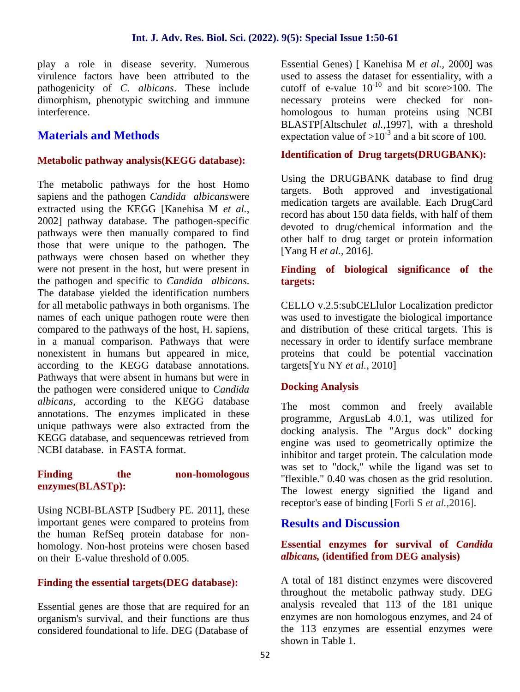play a role in disease severity. Numerous virulence factors have been attributed to the pathogenicity of *C. albicans*. These include dimorphism, phenotypic switching and immune interference.

## **Materials and Methods**

#### **Metabolic pathway analysis(KEGG database):**

The metabolic pathways for the host Homo sapiens and the pathogen *Candida albicans*were extracted using the KEGG [Kanehisa M *et al.,* 2002] pathway database. The pathogen-specific pathways were then manually compared to find those that were unique to the pathogen. The pathways were chosen based on whether they were not present in the host, but were present in the pathogen and specific to *Candida albicans*. The database yielded the identification numbers for all metabolic pathways in both organisms. The names of each unique pathogen route were then compared to the pathways of the host, H. sapiens, in a manual comparison. Pathways that were nonexistent in humans but appeared in mice, according to the KEGG database annotations. Pathways that were absent in humans but were in the pathogen were considered unique to *Candida albicans*, according to the KEGG database annotations. The enzymes implicated in these unique pathways were also extracted from the KEGG database, and sequencewas retrieved from NCBI database. in FASTA format.

#### **Finding the non-homologous enzymes(BLASTp):**

Using NCBI-BLASTP [Sudbery PE. 2011], these important genes were compared to proteins from the human RefSeq protein database for non homology. Non-host proteins were chosen based on their E-value threshold of 0.005.

#### **Finding the essential targets(DEG database):**

Essential genes are those that are required for an organism's survival, and their functions are thus considered foundational to life. DEG (Database of

Essential Genes) [ Kanehisa M *et al.,* 2000] was used to assess the dataset for essentiality, with a cutoff of e-value  $10^{-10}$  and bit score>100. The necessary proteins were checked for non homologous to human proteins using NCBI BLASTP[Altschul*et al.,*1997], with a threshold expectation value of  $>10^{-3}$  and a bit score of 100.

#### **Identification of Drug targets(DRUGBANK):**

Using the DRUGBANK database to find drug targets. Both approved and investigational medication targets are available. Each DrugCard record has about 150 data fields, with half of them devoted to drug/chemical information and the other half to drug target or protein information [Yang H *et al.,* 2016].

#### **Finding of biological significance of the targets:**

CELLO v.2.5:subCELlulor Localization predictor was used to investigate the biological importance and distribution of these critical targets. This is necessary in order to identify surface membrane proteins that could be potential vaccination targets[Yu NY *et al.,* 2010]

#### **Docking Analysis**

and freely available programme, ArgusLab 4.0.1, was utilized for docking analysis. The "Argus dock" docking engine was used to geometrically optimize the inhibitor and target protein. The calculation mode was set to "dock," while the ligand was set to "flexible." 0.40 was chosen as the grid resolution. The lowest energy signified the ligand and receptor's ease of binding [Forli S *et al.,*2016].

#### **Results and Discussion**

#### **Essential enzymes for survival of** *Candida albicans,* **(identified from DEG analysis)**

A total of 181 distinct enzymes were discovered throughout the metabolic pathway study. DEG analysis revealed that 113 of the 181 unique enzymes are non homologous enzymes, and 24 of the 113 enzymes are essential enzymes were shown in Table 1.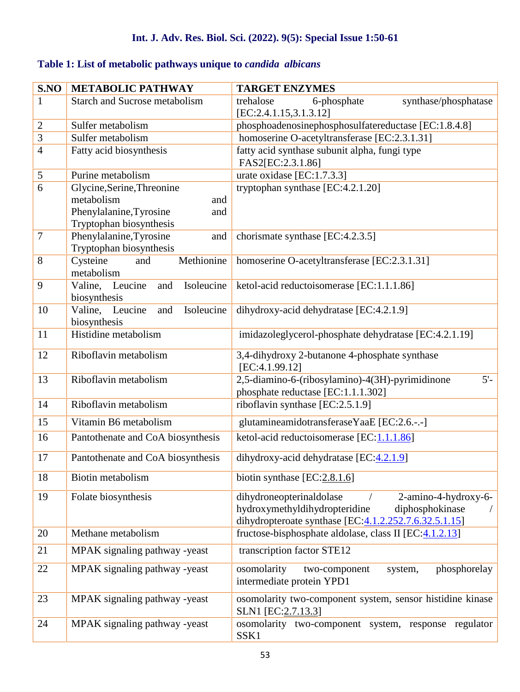# **Table 1: List of metabolic pathways unique to** *candida albicans*

| S.NO           | <b>METABOLIC PATHWAY</b>                                 | <b>TARGET ENZYMES</b>                                                                                |
|----------------|----------------------------------------------------------|------------------------------------------------------------------------------------------------------|
| $\mathbf{1}$   | <b>Starch and Sucrose metabolism</b>                     | 6-phosphate<br>synthase/phosphatase<br>trehalose                                                     |
|                |                                                          | [EC:2.4.1.15,3.1.3.12]                                                                               |
| $\sqrt{2}$     | Sulfer metabolism                                        | phosphoadenosinephosphosulfatereductase [EC:1.8.4.8]                                                 |
| $\overline{3}$ | Sulfer metabolism                                        | homoserine O-acetyltransferase [EC:2.3.1.31]                                                         |
| $\overline{4}$ | Fatty acid biosynthesis                                  | fatty acid synthase subunit alpha, fungi type                                                        |
|                |                                                          | FAS2[EC:2.3.1.86]                                                                                    |
| $\sqrt{5}$     | Purine metabolism                                        | urate oxidase [EC:1.7.3.3]                                                                           |
| 6              | Glycine, Serine, Threonine                               | tryptophan synthase [EC:4.2.1.20]                                                                    |
|                | metabolism<br>and                                        |                                                                                                      |
|                | Phenylalanine, Tyrosine<br>and                           |                                                                                                      |
| $\overline{7}$ | Tryptophan biosynthesis                                  |                                                                                                      |
|                | Phenylalanine, Tyrosine<br>and                           | chorismate synthase [EC:4.2.3.5]                                                                     |
| 8              | Tryptophan biosynthesis<br>Cysteine<br>Methionine<br>and | homoserine O-acetyltransferase [EC:2.3.1.31]                                                         |
|                | metabolism                                               |                                                                                                      |
| 9              | Valine, Leucine<br>and<br>Isoleucine                     | ketol-acid reductoisomerase [EC:1.1.1.86]                                                            |
|                | biosynthesis                                             |                                                                                                      |
| 10             | Valine, Leucine<br>Isoleucine<br>and                     | dihydroxy-acid dehydratase [EC:4.2.1.9]                                                              |
|                | biosynthesis                                             |                                                                                                      |
| 11             | Histidine metabolism                                     | imidazoleglycerol-phosphate dehydratase [EC:4.2.1.19]                                                |
|                |                                                          |                                                                                                      |
| 12             | Riboflavin metabolism                                    | 3,4-dihydroxy 2-butanone 4-phosphate synthase                                                        |
|                |                                                          | [EC:4.1.99.12]                                                                                       |
| 13             | Riboflavin metabolism                                    | 2,5-diamino-6-(ribosylamino)-4(3H)-pyrimidinone<br>$5'$ -                                            |
| 14             | Riboflavin metabolism                                    | phosphate reductase [EC:1.1.1.302]                                                                   |
|                |                                                          | riboflavin synthase [EC:2.5.1.9]                                                                     |
| 15             | Vitamin B6 metabolism                                    | glutamineamidotransferaseYaaE [EC:2.6.-.-]                                                           |
| 16             | Pantothenate and CoA biosynthesis                        | ketol-acid reductoisomerase [EC:1.1.1.86]                                                            |
|                |                                                          |                                                                                                      |
| 17             | Pantothenate and CoA biosynthesis                        | dihydroxy-acid dehydratase [EC:4.2.1.9]                                                              |
| 18             | Biotin metabolism                                        | biotin synthase $[EC:2.8.1.6]$                                                                       |
|                |                                                          |                                                                                                      |
| 19             | Folate biosynthesis                                      | dihydroneopterinaldolase<br>2-amino-4-hydroxy-6-<br>hydroxymethyldihydropteridine<br>diphosphokinase |
|                |                                                          | dihydropteroate synthase $[EC:\underline{4.1.2.252.7.6.32.5.1.15}]$                                  |
| 20             | Methane metabolism                                       | fructose-bisphosphate aldolase, class II [EC:4.1.2.13]                                               |
|                |                                                          |                                                                                                      |
| 21             | MPAK signaling pathway -yeast                            | transcription factor STE12                                                                           |
| 22             | MPAK signaling pathway -yeast                            | phosphorelay<br>osomolarity<br>two-component<br>system,                                              |
|                |                                                          | intermediate protein YPD1                                                                            |
| 23             | MPAK signaling pathway -yeast                            | osomolarity two-component system, sensor histidine kinase                                            |
|                |                                                          | SLN1 [EC:2.7.13.3]                                                                                   |
| 24             | MPAK signaling pathway -yeast                            | osomolarity two-component system, response regulator                                                 |
|                |                                                          | SSK1                                                                                                 |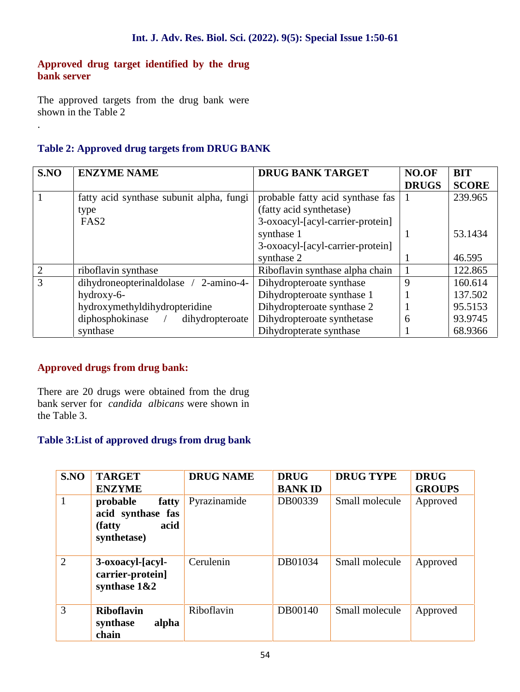#### **Approved drug target identified by the drug bank server**

The approved targets from the drug bank were shown in the Table 2

.

## **Table 2: Approved drug targets from DRUG BANK**

| S.NO           | <b>ENZYME NAME</b>                       | <b>DRUG BANK TARGET</b>          | NO.OF<br><b>DRUGS</b> | <b>BIT</b><br><b>SCORE</b> |
|----------------|------------------------------------------|----------------------------------|-----------------------|----------------------------|
|                | fatty acid synthase subunit alpha, fungi | probable fatty acid synthase fas |                       | 239.965                    |
|                | type                                     | (fatty acid synthetase)          |                       |                            |
|                | FAS <sub>2</sub>                         | 3-oxoacyl-[acyl-carrier-protein] |                       |                            |
|                |                                          | synthase 1                       |                       | 53.1434                    |
|                |                                          | 3-oxoacyl-[acyl-carrier-protein] |                       |                            |
|                |                                          | synthase 2                       |                       | 46.595                     |
| 2              | riboflavin synthase                      | Riboflavin synthase alpha chain  |                       | 122.865                    |
| $\overline{3}$ | dihydroneopterinaldolase /<br>2-amino-4- | Dihydropteroate synthase         | 9                     | 160.614                    |
|                | hydroxy-6-                               | Dihydropteroate synthase 1       |                       | 137.502                    |
|                | hydroxymethyldihydropteridine            | Dihydropteroate synthase 2       |                       | 95.5153                    |
|                | diphosphokinase /<br>dihydropteroate     | Dihydropteroate synthetase       | 6                     | 93.9745                    |
|                | synthase                                 | Dihydropterate synthase          |                       | 68.9366                    |

#### **Approved drugs from drug bank:**

There are 20 drugs were obtained from the drug bank server for *candida albicans* were shown in the Table 3.

# **Table 3:List of approved drugs from drug bank**

| S.NO           | <b>TARGET</b><br><b>ENZYME</b>                                           | <b>DRUG NAME</b> | <b>DRUG</b><br><b>BANKID</b> | <b>DRUG TYPE</b> | <b>DRUG</b><br><b>GROUPS</b> |
|----------------|--------------------------------------------------------------------------|------------------|------------------------------|------------------|------------------------------|
| 1              | probable<br>fatty<br>acid synthase fas<br>acid<br>(fatty)<br>synthetase) | Pyrazinamide     | DB00339                      | Small molecule   | Approved                     |
| $\overline{2}$ | 3-oxoacyl-[acyl-<br>carrier-protein]<br>synthase $1&2$                   | Cerulenin        | DB01034                      | Small molecule   | Approved                     |
| 3              | <b>Riboflavin</b><br>alpha<br>synthase<br>chain                          | Riboflavin       | DB00140                      | Small molecule   | Approved                     |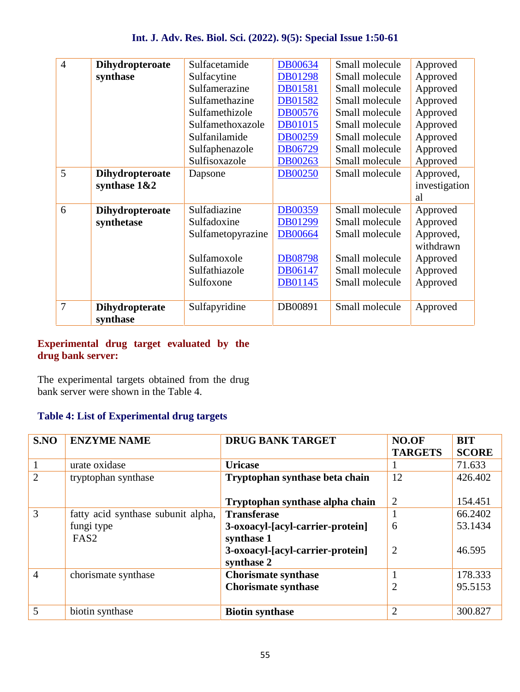| $\overline{4}$ | <b>Dihydropteroate</b>                   | Sulfacetamide     | <b>DB00634</b> | Small molecule | Approved                         |
|----------------|------------------------------------------|-------------------|----------------|----------------|----------------------------------|
|                | synthase                                 | Sulfacytine       | <b>DB01298</b> | Small molecule | Approved                         |
|                |                                          | Sulfamerazine     | <b>DB01581</b> | Small molecule | Approved                         |
|                |                                          | Sulfamethazine    | DB01582        | Small molecule | Approved                         |
|                |                                          | Sulfamethizole    | <b>DB00576</b> | Small molecule | Approved                         |
|                |                                          | Sulfamethoxazole  | <b>DB01015</b> | Small molecule | Approved                         |
|                |                                          | Sulfanilamide     | DB00259        | Small molecule | Approved                         |
|                |                                          | Sulfaphenazole    | DB06729        | Small molecule | Approved                         |
|                |                                          | Sulfisoxazole     | DB00263        | Small molecule | Approved                         |
| 5              | <b>Dihydropteroate</b><br>synthase $1&2$ | Dapsone           | <b>DB00250</b> | Small molecule | Approved,<br>investigation<br>al |
| 6              | <b>Dihydropteroate</b>                   | Sulfadiazine      | <b>DB00359</b> | Small molecule | Approved                         |
|                | synthetase                               | Sulfadoxine       | DB01299        | Small molecule | Approved                         |
|                |                                          | Sulfametopyrazine | <b>DB00664</b> | Small molecule | Approved,<br>withdrawn           |
|                |                                          | Sulfamoxole       | <b>DB08798</b> | Small molecule | Approved                         |
|                |                                          | Sulfathiazole     | DB06147        | Small molecule | Approved                         |
|                |                                          | Sulfoxone         | DB01145        | Small molecule | Approved                         |
| 7              | <b>Dihydropterate</b><br>synthase        | Sulfapyridine     | DB00891        | Small molecule | Approved                         |

#### **Experimental drug target evaluated by the drug bank server:**

The experimental targets obtained from the drug bank server were shown in the Table 4.

#### **Table 4: List of Experimental drug targets**

| S.NO           | <b>ENZYME NAME</b>                 | <b>DRUG BANK TARGET</b>                        | NO.OF<br><b>TARGETS</b> | <b>BIT</b><br><b>SCORE</b> |
|----------------|------------------------------------|------------------------------------------------|-------------------------|----------------------------|
| $\mathbf{1}$   | urate oxidase                      | <b>Uricase</b>                                 |                         | 71.633                     |
| $\overline{2}$ | tryptophan synthase                | Tryptophan synthase beta chain                 | 12                      | 426.402                    |
|                |                                    | Tryptophan synthase alpha chain                | 2                       | 154.451                    |
| 3              | fatty acid synthase subunit alpha, | <b>Transferase</b>                             |                         | 66.2402                    |
|                | fungi type<br>FAS <sub>2</sub>     | 3-oxoacyl-[acyl-carrier-protein]<br>synthase 1 | 6                       | 53.1434                    |
|                |                                    | 3-oxoacyl-[acyl-carrier-protein]<br>synthase 2 | 2                       | 46.595                     |
| $\overline{4}$ | chorismate synthase                | <b>Chorismate synthase</b>                     |                         | 178.333                    |
|                |                                    | <b>Chorismate synthase</b>                     | $\overline{2}$          | 95.5153                    |
| $\overline{5}$ | biotin synthase                    | <b>Biotin synthase</b>                         | $\overline{2}$          | 300.827                    |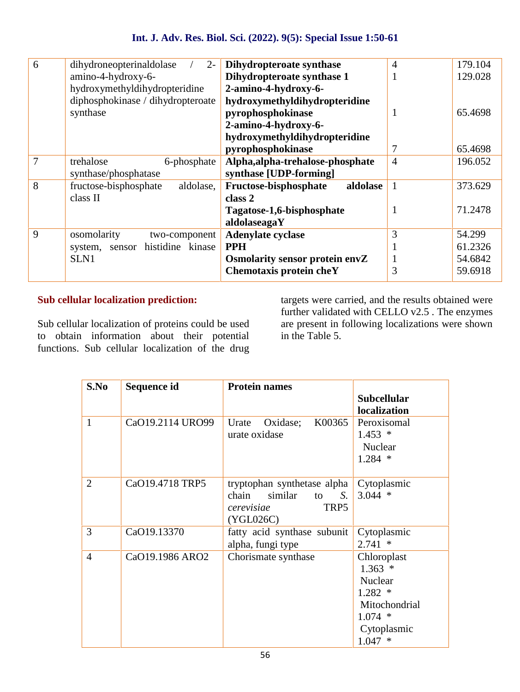| 6 | dihydroneopterinaldolase<br>$2 -$  | Dihydropteroate synthase          | $\overline{4}$ | 179.104 |
|---|------------------------------------|-----------------------------------|----------------|---------|
|   | amino-4-hydroxy-6-                 | Dihydropteroate synthase 1        |                | 129.028 |
|   | hydroxymethyldihydropteridine      | 2-amino-4-hydroxy-6-              |                |         |
|   | diphosphokinase / dihydropteroate  | hydroxymethyldihydropteridine     |                |         |
|   | synthase                           | pyrophosphokinase                 |                | 65.4698 |
|   |                                    | 2-amino-4-hydroxy-6-              |                |         |
|   |                                    | hydroxymethyldihydropteridine     |                |         |
|   |                                    | pyrophosphokinase                 |                | 65.4698 |
| 7 | trehalose<br>6-phosphate           | Alpha, alpha-trehalose-phosphate  | $\overline{4}$ | 196.052 |
|   | synthase/phosphatase               | synthase [UDP-forming]            |                |         |
| 8 | fructose-bisphosphate<br>aldolase, | aldolase<br>Fructose-bisphosphate |                | 373.629 |
|   | class II                           | class 2                           |                |         |
|   |                                    | Tagatose-1,6-bisphosphate         |                | 71.2478 |
|   |                                    | aldolaseagaY                      |                |         |
| 9 | osomolarity<br>two-component       | <b>Adenylate cyclase</b>          | 3              | 54.299  |
|   | histidine kinase<br>system, sensor | <b>PPH</b>                        |                | 61.2326 |
|   | SLN1                               | Osmolarity sensor protein envZ    |                | 54.6842 |
|   |                                    | Chemotaxis protein cheY           | 3              | 59.6918 |
|   |                                    |                                   |                |         |

## **Sub cellular localization prediction:**

Sub cellular localization of proteins could be used to obtain information about their potential functions. Sub cellular localization of the drug

targets were carried, and the results obtained were further validated with CELLO v2.5 . The enzymes are present in following localizations were shown in the Table 5.

| S.No           | Sequence id      | <b>Protein names</b>                                                                           |                                                                                                                |
|----------------|------------------|------------------------------------------------------------------------------------------------|----------------------------------------------------------------------------------------------------------------|
|                |                  |                                                                                                | <b>Subcellular</b><br>localization                                                                             |
| 1              | CaO19.2114 URO99 | K00365<br>Oxidase;<br>Urate<br>urate oxidase                                                   | Peroxisomal<br>$1.453*$<br>Nuclear<br>$1.284$ *                                                                |
| $\overline{2}$ | CaO19.4718 TRP5  | tryptophan synthetase alpha<br>chain<br>similar<br>S.<br>to<br>TRP5<br>cerevisiae<br>(YGL026C) | Cytoplasmic<br>$3.044$ *                                                                                       |
| 3              | CaO19.13370      | fatty acid synthase subunit<br>alpha, fungi type                                               | Cytoplasmic<br>$2.741*$                                                                                        |
| $\overline{4}$ | CaO19.1986 ARO2  | Chorismate synthase                                                                            | Chloroplast<br>$1.363*$<br><b>Nuclear</b><br>$1.282*$<br>Mitochondrial<br>$1.074$ *<br>Cytoplasmic<br>$1.047*$ |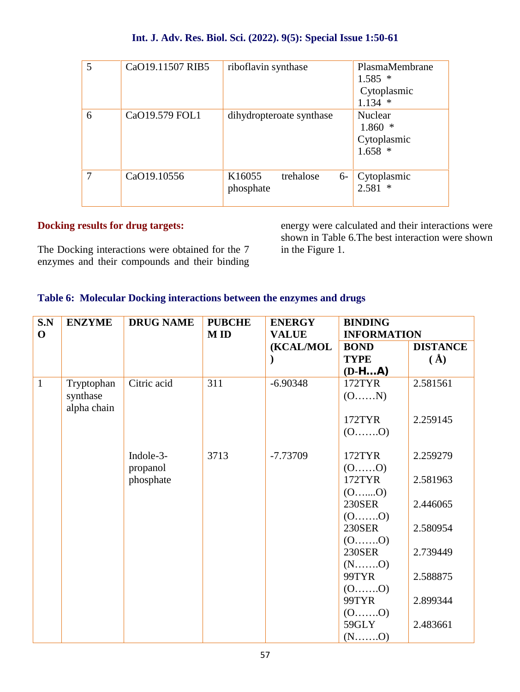| 5 | CaO19.11507 RIB5 | riboflavin synthase                      | PlasmaMembrane<br>$1.585*$<br>Cytoplasmic<br>$1.134$ * |
|---|------------------|------------------------------------------|--------------------------------------------------------|
| 6 | CaO19.579 FOL1   | dihydropteroate synthase                 | Nuclear<br>$1.860*$<br>Cytoplasmic<br>$1.658*$         |
| 7 | CaO19.10556      | K16055<br>trehalose<br>$6-$<br>phosphate | Cytoplasmic<br>$2.581*$                                |

#### **Docking results for drug targets:**

The Docking interactions were obtained for the 7 enzymes and their compounds and their binding energy were calculated and their interactions were shown in Table 6.The best interaction were shown in the Figure 1.

#### **Table 6: Molecular Docking interactions between the enzymes and drugs**

| S.N<br><b>ENZYME</b> |                         | <b>DRUG NAME</b> | <b>PUBCHE</b> | <b>ENERGY</b>             | <b>BINDING</b>                    |                 |  |
|----------------------|-------------------------|------------------|---------------|---------------------------|-----------------------------------|-----------------|--|
| $\mathbf 0$          |                         |                  | <b>MID</b>    | <b>VALUE</b><br>(KCAL/MOL | <b>INFORMATION</b><br><b>BOND</b> | <b>DISTANCE</b> |  |
|                      |                         |                  |               |                           | <b>TYPE</b>                       | $(\AA)$         |  |
|                      |                         |                  |               |                           | $(D-HA)$                          |                 |  |
| $\mathbf{1}$         | Tryptophan              | Citric acid      | 311           | $-6.90348$                | 172TYR                            | 2.581561        |  |
|                      | synthase<br>alpha chain |                  |               |                           | (0N)                              |                 |  |
|                      |                         |                  |               |                           | 172TYR                            | 2.259145        |  |
|                      |                         |                  |               |                           | $(0, \ldots, 0)$                  |                 |  |
|                      |                         | Indole-3-        | 3713          | $-7.73709$                | 172TYR                            | 2.259279        |  |
|                      |                         | propanol         |               |                           | $(0, \ldots, 0)$                  |                 |  |
|                      |                         | phosphate        |               |                           | 172TYR                            | 2.581963        |  |
|                      |                         |                  |               |                           | $(0, \ldots, 0)$                  |                 |  |
|                      |                         |                  |               |                           | <b>230SER</b>                     | 2.446065        |  |
|                      |                         |                  |               |                           | $(0, \ldots, 0)$                  |                 |  |
|                      |                         |                  |               |                           | <b>230SER</b>                     | 2.580954        |  |
|                      |                         |                  |               |                           | $(0, \ldots, 0)$                  |                 |  |
|                      |                         |                  |               |                           | <b>230SER</b>                     | 2.739449        |  |
|                      |                         |                  |               |                           |                                   |                 |  |
|                      |                         |                  |               |                           | 99TYR                             | 2.588875        |  |
|                      |                         |                  |               |                           | $(0, \ldots, 0)$                  |                 |  |
|                      |                         |                  |               |                           | 99TYR                             | 2.899344        |  |
|                      |                         |                  |               |                           | $(0$ 0)<br>59GLY                  | 2.483661        |  |
|                      |                         |                  |               |                           |                                   |                 |  |
|                      |                         |                  |               |                           |                                   |                 |  |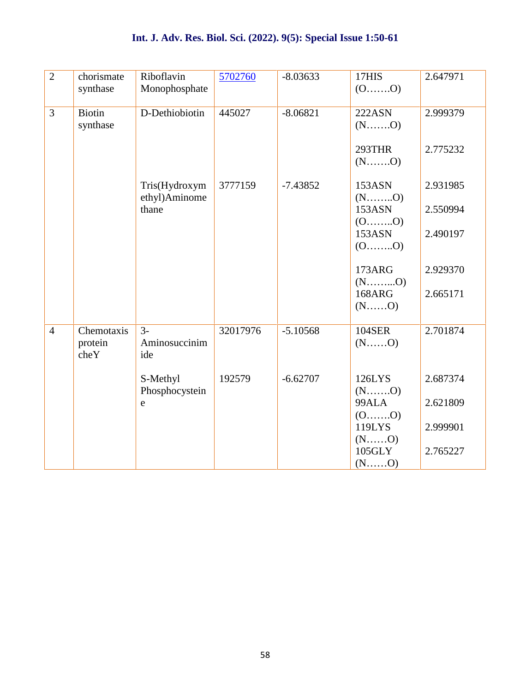| $\overline{2}$ | chorismate<br>synthase        | Riboflavin<br>Monophosphate    | 5702760  | $-8.03633$ | 17HIS<br>$(0, \ldots, 0)$  | 2.647971 |
|----------------|-------------------------------|--------------------------------|----------|------------|----------------------------|----------|
| 3              | <b>Biotin</b><br>synthase     | D-Dethiobiotin                 | 445027   | $-8.06821$ | <b>222ASN</b>              | 2.999379 |
|                |                               |                                |          |            | 293THR                     | 2.775232 |
|                |                               | Tris(Hydroxym<br>ethyl)Aminome | 3777159  | $-7.43852$ | 153ASN<br>$(N$ $O)$        | 2.931985 |
|                |                               | thane                          |          |            | 153ASN                     | 2.550994 |
|                |                               |                                |          |            | $(0, \ldots, 0)$<br>153ASN | 2.490197 |
|                |                               |                                |          |            | $(0, \ldots, 0)$           |          |
|                |                               |                                |          |            | <b>173ARG</b>              | 2.929370 |
|                |                               |                                |          |            |                            |          |
|                |                               |                                |          |            | <b>168ARG</b><br>$(N$ $O)$ | 2.665171 |
| $\overline{4}$ | Chemotaxis<br>protein<br>cheY | $3-$<br>Aminosuccinim<br>ide   | 32017976 | $-5.10568$ | <b>104SER</b><br>$(N$ $O)$ | 2.701874 |
|                |                               | S-Methyl                       | 192579   | $-6.62707$ | 126LYS                     | 2.687374 |
|                |                               | Phosphocystein                 |          |            |                            |          |
|                |                               | e                              |          |            | 99ALA<br>$(0, \ldots, 0)$  | 2.621809 |
|                |                               |                                |          |            | 119LYS                     | 2.999901 |
|                |                               |                                |          |            | $(N$ $O)$                  |          |
|                |                               |                                |          |            | 105GLY<br>$(N$ $O)$        | 2.765227 |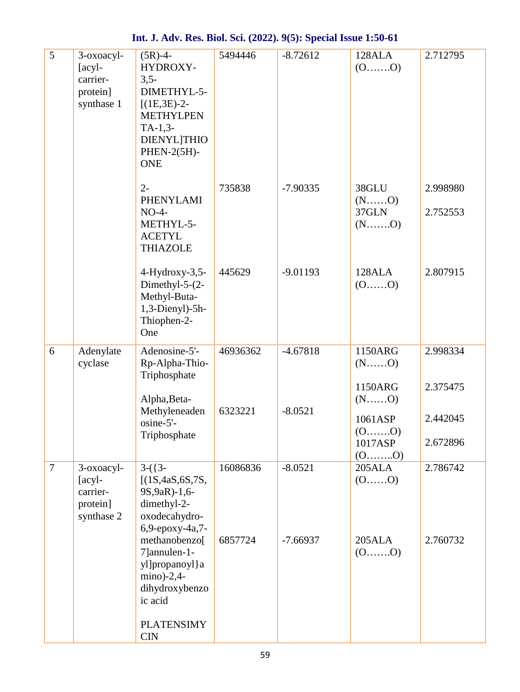| 5              | 3-oxoacyl-<br>$[acy]-$<br>carrier-<br>protein]<br>synthase 1 | $(5R) - 4 -$<br>HYDROXY-<br>$3,5-$<br>DIMETHYL-5-<br>$[(1E,3E)-2-$<br><b>METHYLPEN</b><br>$TA-1,3-$<br><b>DIENYL THIO</b><br>PHEN-2(5H)-<br><b>ONE</b> | 5494446             | $-8.72612$              | 128ALA<br>$(0, \ldots, 0)$                                 | 2.712795             |
|----------------|--------------------------------------------------------------|--------------------------------------------------------------------------------------------------------------------------------------------------------|---------------------|-------------------------|------------------------------------------------------------|----------------------|
|                |                                                              | $2 -$<br>PHENYLAMI<br>$NO-4-$<br>METHYL-5-<br><b>ACETYL</b><br><b>THIAZOLE</b>                                                                         | 735838              | $-7.90335$              | 38GLU<br>$(N$ $O)$<br>37GLN                                | 2.998980<br>2.752553 |
|                |                                                              | 4-Hydroxy-3,5-<br>Dimethyl- $5-(2-)$<br>Methyl-Buta-<br>$1,3$ -Dienyl)-5h-<br>Thiophen-2-<br>One                                                       | 445629              | $-9.01193$              | 128ALA<br>$(0, \ldots, 0)$                                 | 2.807915             |
| 6              | Adenylate<br>cyclase                                         | Adenosine-5'-<br>Rp-Alpha-Thio-<br>Triphosphate<br>Alpha, Beta-                                                                                        | 46936362<br>6323221 | $-4.67818$<br>$-8.0521$ | 1150ARG<br>$(N$ O<br>1150ARG<br>$(N$ $O)$                  | 2.998334<br>2.375475 |
|                |                                                              | Methyleneaden<br>osine-5'-<br>Triphosphate                                                                                                             |                     |                         | 1061ASP<br>$(0, \ldots, 0)$<br>1017ASP<br>$(0, \ldots, 0)$ | 2.442045<br>2.672896 |
| $\overline{7}$ | 3-oxoacyl-<br>[acyl-<br>carrier-<br>protein]<br>synthase 2   | $3-(3-$<br>[(1S, 4aS, 6S, 7S,<br>9S, 9aR) - 1, 6-<br>dimethyl-2-<br>oxodecahydro-<br>6,9-epoxy-4a,7-                                                   | 16086836            | $-8.0521$               | 205ALA<br>$(0, \ldots, 0)$                                 | 2.786742             |
|                |                                                              | methanobenzo[<br>7]annulen-1-<br>yl]propanoyl}a<br>$mino$ )-2,4-<br>dihydroxybenzo<br>ic acid                                                          | 6857724             | $-7.66937$              | 205ALA<br>$(0, \ldots, 0)$                                 | 2.760732             |
|                |                                                              | <b>PLATENSIMY</b><br><b>CIN</b>                                                                                                                        |                     |                         |                                                            |                      |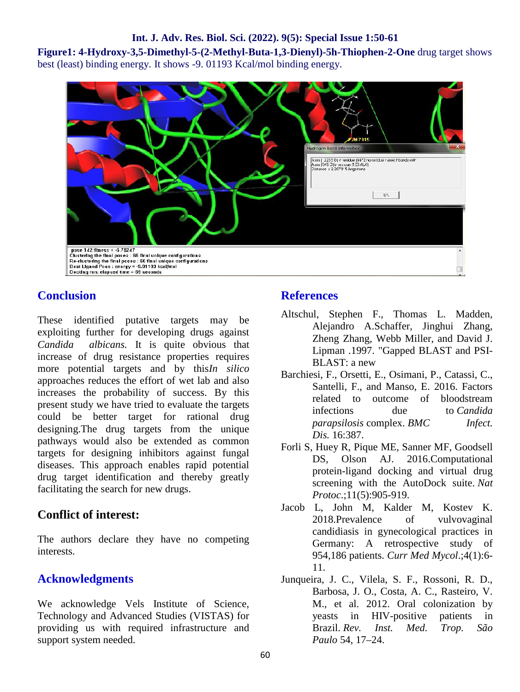**Figure1: 4-Hydroxy-3,5-Dimethyl-5-(2-Methyl-Buta-1,3-Dienyl)-5h-Thiophen-2-One** drug target shows best (least) binding energy. It shows -9. 01193 Kcal/mol binding energy.



## **Conclusion**

These identified putative targets may be exploiting further for developing drugs against *Candida albicans.* It is quite obvious that increase of drug resistance properties requires more potential targets and by this*In silico* approaches reduces the effort of wet lab and also increases the probability of success. By this present study we have tried to evaluate the targets could be better target for rational drug designing.The drug targets from the unique pathways would also be extended as common targets for designing inhibitors against fungal diseases. This approach enables rapid potential drug target identification and thereby greatly facilitating the search for new drugs.

#### **Conflict of interest:**

The authors declare they have no competing interests.

#### **Acknowledgments**

We acknowledge Vels Institute of Science, Technology and Advanced Studies (VISTAS) for providing us with required infrastructure and support system needed.

#### **References**

- Altschul, Stephen F., Thomas L. Madden, Alejandro A.Schaffer, Jinghui Zhang, Zheng Zhang, Webb Miller, and David J. Lipman .1997. "Gapped BLAST and PSI- BLAST: a new
- Barchiesi, F., Orsetti, E., Osimani, P., Catassi, C., Santelli, F., and Manso, E. 2016. Factors related to outcome of bloodstream infections due to *Candida parapsilosis* complex. *BMC Infect. Dis.* 16:387.
- Forli S, Huey R, Pique ME, Sanner MF, Goodsell DS, Olson AJ. 2016.Computational protein-ligand docking and virtual drug screening with the AutoDock suite. *Nat Protoc*.;11(5):905-919.
- Jacob L, John M, Kalder M, Kostev K. 2018.Prevalence of vulvovaginal candidiasis in gynecological practices in Germany: A retrospective study of 954,186 patients. *Curr Med Mycol*.;4(1):6- 11.
- Junqueira, J. C., Vilela, S. F., Rossoni, R. D., Barbosa, J. O., Costa, A. C., Rasteiro, V. M., et al. 2012. Oral colonization by yeasts in HIV-positive patients in Brazil. *Rev. Inst. Med. Trop. São Paulo* 54, 17–24.